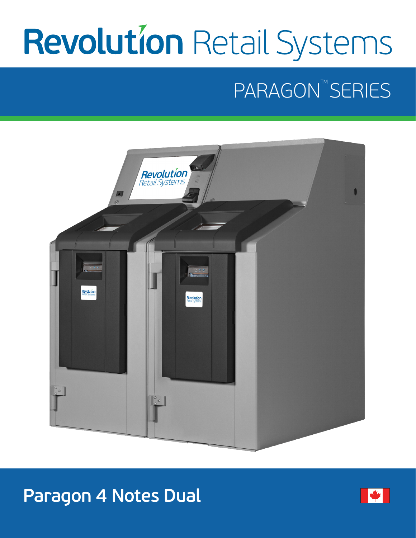# **Revolution Retail Systems**

## PARAGON™SERIES



## **Paragon 4 Notes Dual**

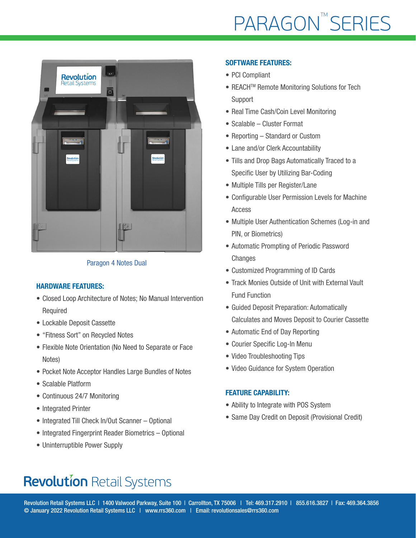

### Paragon 4 Notes Dual

#### HARDWARE FEATURES:

- Closed Loop Architecture of Notes; No Manual Intervention Required
- Lockable Deposit Cassette
- "Fitness Sort" on Recycled Notes
- Flexible Note Orientation (No Need to Separate or Face Notes)
- Pocket Note Acceptor Handles Large Bundles of Notes
- Scalable Platform
- Continuous 24/7 Monitoring
- Integrated Printer
- Integrated Till Check In/Out Scanner Optional
- Integrated Fingerprint Reader Biometrics Optional
- Uninterruptible Power Supply

#### SOFTWARE FEATURES:

- PCI Compliant
- REACH<sup>™</sup> Remote Monitoring Solutions for Tech Support
- Real Time Cash/Coin Level Monitoring
- Scalable Cluster Format
- Reporting Standard or Custom
- Lane and/or Clerk Accountability
- Tills and Drop Bags Automatically Traced to a Specific User by Utilizing Bar-Coding
- Multiple Tills per Register/Lane
- Configurable User Permission Levels for Machine Access
- Multiple User Authentication Schemes (Log-in and PIN, or Biometrics)
- Automatic Prompting of Periodic Password **Changes**
- Customized Programming of ID Cards
- Track Monies Outside of Unit with External Vault Fund Function
- Guided Deposit Preparation: Automatically Calculates and Moves Deposit to Courier Cassette
- Automatic End of Day Reporting
- Courier Specific Log-In Menu
- Video Troubleshooting Tips
- Video Guidance for System Operation

#### FEATURE CAPABILITY:

- Ability to Integrate with POS System
- Same Day Credit on Deposit (Provisional Credit)

## **Revolution Retail Systems**

Revolution Retail Systems LLC | 1400 Valwood Parkway, Suite 100 | Carrollton, TX 75006 | Tel: 469.317.2910 | 855.616.3827 | Fax: 469.364.3856 © January 2022 Revolution Retail Systems LLC | www.rrs360.com | Email: revolutionsales@rrs360.com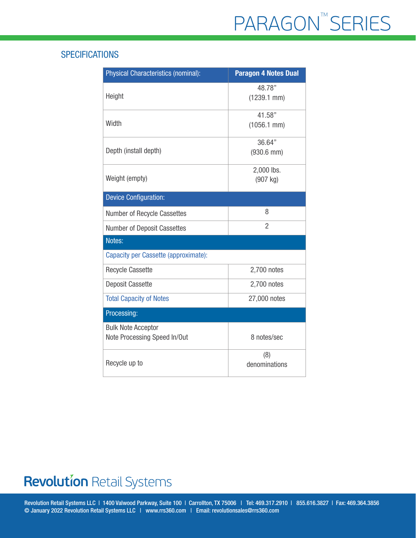## **SPECIFICATIONS**

| <b>Physical Characteristics (nominal):</b>                | <b>Paragon 4 Notes Dual</b> |
|-----------------------------------------------------------|-----------------------------|
| Height                                                    | 48.78"<br>$(1239.1$ mm $)$  |
| Width                                                     | 41.58"<br>$(1056.1$ mm $)$  |
| Depth (install depth)                                     | 36.64"<br>$(930.6$ mm $)$   |
| Weight (empty)                                            | 2,000 lbs.<br>(907 kg)      |
| <b>Device Configuration:</b>                              |                             |
| Number of Recycle Cassettes                               | 8                           |
| <b>Number of Deposit Cassettes</b>                        | $\overline{2}$              |
| Notes:                                                    |                             |
| Capacity per Cassette (approximate):                      |                             |
| <b>Recycle Cassette</b>                                   | 2,700 notes                 |
| <b>Deposit Cassette</b>                                   | 2,700 notes                 |
| <b>Total Capacity of Notes</b>                            | 27,000 notes                |
| Processing:                                               |                             |
| <b>Bulk Note Acceptor</b><br>Note Processing Speed In/Out | 8 notes/sec                 |
| Recycle up to                                             | (8)<br>denominations        |

## **Revolution Retail Systems**

Revolution Retail Systems LLC | 1400 Valwood Parkway, Suite 100 | Carrollton, TX 75006 | Tel: 469.317.2910 | 855.616.3827 | Fax: 469.364.3856 © January 2022 Revolution Retail Systems LLC | www.rrs360.com | Email: revolutionsales@rrs360.com